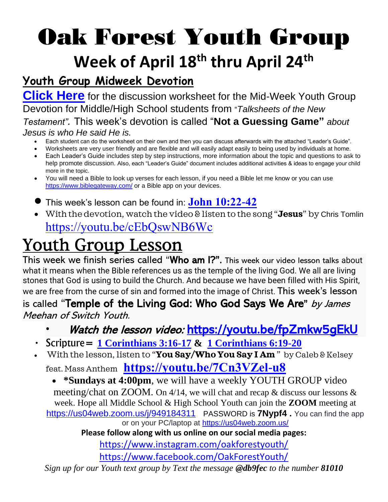# Oak Forest Youth Group **Week of April 18 th thru April 24th**

### **Youth Group Midweek Devotion**

**[Click Here](Not%20a%20Guessing%20Game%20worksheet%20%20guide.pdf)** for the discussion worksheet for the Mid-Week Youth Group Devotion for Middle/High School students from "*Talksheets of the New Testament".* This week's devotion is called "**Not a Guessing Game"** *about Jesus is who He said He is.* 

- Each student can do the worksheet on their own and then you can discuss afterwards with the attached "Leader's Guide".
- Worksheets are very user friendly and are flexible and will easily adapt easily to being used by individuals at home.
- Each Leader's Guide includes step by step instructions, more information about the topic and questions to ask to help promote discussion. Also, each "Leader's Guide" document includes additional activities & ideas to engage your child more in the topic.
- You will need a Bible to look up verses for each lesson, if you need a Bible let me know or you can use <https://www.biblegateway.com/> or a Bible app on your devices.
- This week's lesson can be found in: **[John 10:22-42](https://www.biblegateway.com/passage/?search=john+10%3A22-42+&version=NIV)**
- With the devotion, watch the video & listen to the song "**Jesus**" by Chris Tomlin <https://youtu.be/cEbQswNB6Wc>

## Youth Group Lesson

This week we finish series called "Who am I?". This week our video lesson talks about what it means when the Bible references us as the temple of the living God. We all are living stones that God is using to build the Church. And because we have been filled with His Spirit, we are free from the curse of sin and formed into the image of Christ. This week's lesson

### is called "Temple of the Living God: Who God Says We Are" by James Meehan of Switch Youth.

- Watch the lesson video: <https://youtu.be/fpZmkw5gEkU>
- Scripture= **[1 Corinthians 3:16-17](https://www.biblegateway.com/passage/?search=1+corinthians+3%3A16-17&version=NIV) & [1 Corinthians 6:19-20](https://www.biblegateway.com/passage/?search=1+corinthians+6%3A19-20&version=NIV)**
- With the lesson, listen to "**You Say/Who You Say I Am** " by Caleb & Kelsey feat. Mass Anthem **<https://youtu.be/7Cn3VZel-u8>**

• **\*Sundays at 4:00pm**, we will have a weekly YOUTH GROUP video meeting/chat on ZOOM. On 4/14, we will chat and recap & discuss our lessons & week. Hope all Middle School & High School Youth can join the **ZOOM** meeting at <https://us04web.zoom.us/j/949184311> PASSWORD is **7Nypf4 .** *You can find the app or on your PC/laptop at<https://us04web.zoom.us/>*

**Please follow along with us online on our social media pages:**

<https://www.instagram.com/oakforestyouth/>

<https://www.facebook.com/OakForestYouth/>

*Sign up for our Youth text group by Text the message @db9fec to the number 81010*